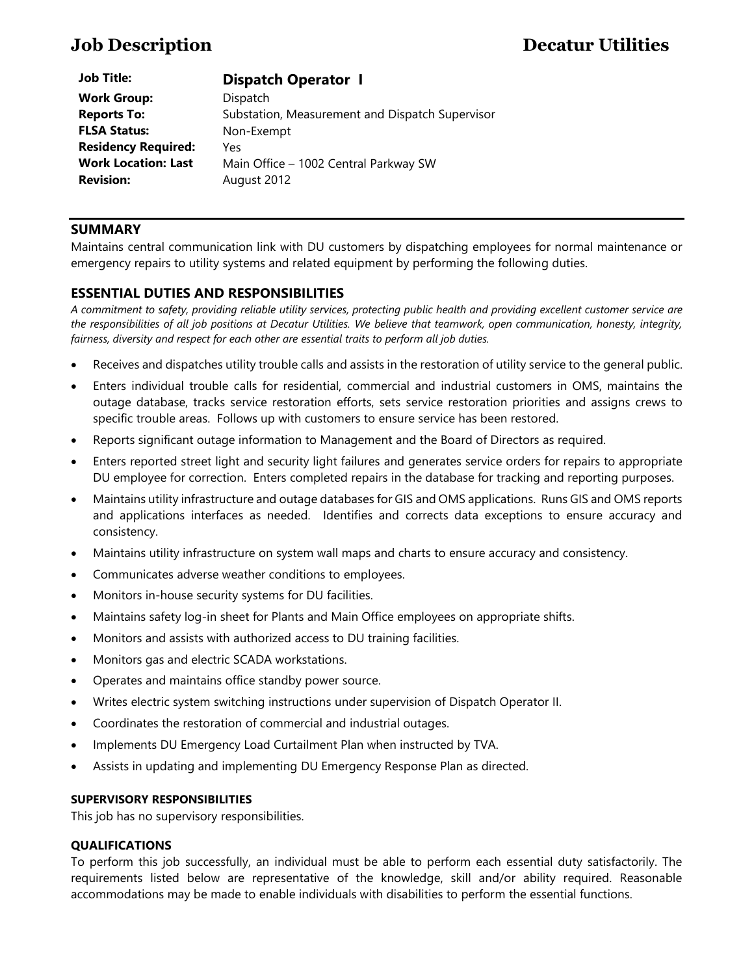# **Job Description Decatur Utilities**

| <b>Job Title:</b>          | <b>Dispatch Operator 1</b>                      |
|----------------------------|-------------------------------------------------|
| <b>Work Group:</b>         | Dispatch                                        |
| <b>Reports To:</b>         | Substation, Measurement and Dispatch Supervisor |
| <b>FLSA Status:</b>        | Non-Exempt                                      |
| <b>Residency Required:</b> | Yes                                             |
| <b>Work Location: Last</b> | Main Office - 1002 Central Parkway SW           |
| <b>Revision:</b>           | August 2012                                     |

# **SUMMARY**

**Job Title:** 

Maintains central communication link with DU customers by dispatching employees for normal maintenance or emergency repairs to utility systems and related equipment by performing the following duties.

# **ESSENTIAL DUTIES AND RESPONSIBILITIES**

*A commitment to safety, providing reliable utility services, protecting public health and providing excellent customer service are the responsibilities of all job positions at Decatur Utilities. We believe that teamwork, open communication, honesty, integrity, fairness, diversity and respect for each other are essential traits to perform all job duties.*

- Receives and dispatches utility trouble calls and assists in the restoration of utility service to the general public.
- Enters individual trouble calls for residential, commercial and industrial customers in OMS, maintains the outage database, tracks service restoration efforts, sets service restoration priorities and assigns crews to specific trouble areas. Follows up with customers to ensure service has been restored.
- Reports significant outage information to Management and the Board of Directors as required.
- Enters reported street light and security light failures and generates service orders for repairs to appropriate DU employee for correction. Enters completed repairs in the database for tracking and reporting purposes.
- Maintains utility infrastructure and outage databases for GIS and OMS applications. Runs GIS and OMS reports and applications interfaces as needed. Identifies and corrects data exceptions to ensure accuracy and consistency.
- Maintains utility infrastructure on system wall maps and charts to ensure accuracy and consistency.
- Communicates adverse weather conditions to employees.
- Monitors in-house security systems for DU facilities.
- Maintains safety log-in sheet for Plants and Main Office employees on appropriate shifts.
- Monitors and assists with authorized access to DU training facilities.
- Monitors gas and electric SCADA workstations.
- Operates and maintains office standby power source.
- Writes electric system switching instructions under supervision of Dispatch Operator II.
- Coordinates the restoration of commercial and industrial outages.
- Implements DU Emergency Load Curtailment Plan when instructed by TVA.
- Assists in updating and implementing DU Emergency Response Plan as directed.

### **SUPERVISORY RESPONSIBILITIES**

This job has no supervisory responsibilities.

### **QUALIFICATIONS**

To perform this job successfully, an individual must be able to perform each essential duty satisfactorily. The requirements listed below are representative of the knowledge, skill and/or ability required. Reasonable accommodations may be made to enable individuals with disabilities to perform the essential functions.